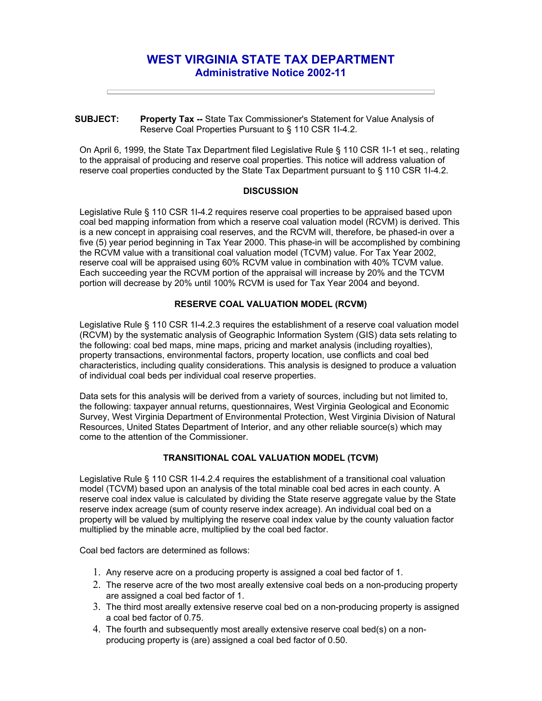# **WEST VIRGINIA STATE TAX DEPARTMENT Administrative Notice 2002-11**

#### **SUBJECT: Property Tax --** State Tax Commissioner's Statement for Value Analysis of Reserve Coal Properties Pursuant to § 110 CSR 1I-4.2.

On April 6, 1999, the State Tax Department filed Legislative Rule § 110 CSR 1I-1 et seq., relating to the appraisal of producing and reserve coal properties. This notice will address valuation of reserve coal properties conducted by the State Tax Department pursuant to § 110 CSR 1I-4.2.

### **DISCUSSION**

Legislative Rule § 110 CSR 1I-4.2 requires reserve coal properties to be appraised based upon coal bed mapping information from which a reserve coal valuation model (RCVM) is derived. This is a new concept in appraising coal reserves, and the RCVM will, therefore, be phased-in over a five (5) year period beginning in Tax Year 2000. This phase-in will be accomplished by combining the RCVM value with a transitional coal valuation model (TCVM) value. For Tax Year 2002, reserve coal will be appraised using 60% RCVM value in combination with 40% TCVM value. Each succeeding year the RCVM portion of the appraisal will increase by 20% and the TCVM portion will decrease by 20% until 100% RCVM is used for Tax Year 2004 and beyond.

### **RESERVE COAL VALUATION MODEL (RCVM)**

Legislative Rule § 110 CSR 1I-4.2.3 requires the establishment of a reserve coal valuation model (RCVM) by the systematic analysis of Geographic Information System (GIS) data sets relating to the following: coal bed maps, mine maps, pricing and market analysis (including royalties), property transactions, environmental factors, property location, use conflicts and coal bed characteristics, including quality considerations. This analysis is designed to produce a valuation of individual coal beds per individual coal reserve properties.

Data sets for this analysis will be derived from a variety of sources, including but not limited to, the following: taxpayer annual returns, questionnaires, West Virginia Geological and Economic Survey, West Virginia Department of Environmental Protection, West Virginia Division of Natural Resources, United States Department of Interior, and any other reliable source(s) which may come to the attention of the Commissioner.

## **TRANSITIONAL COAL VALUATION MODEL (TCVM)**

Legislative Rule § 110 CSR 1I-4.2.4 requires the establishment of a transitional coal valuation model (TCVM) based upon an analysis of the total minable coal bed acres in each county. A reserve coal index value is calculated by dividing the State reserve aggregate value by the State reserve index acreage (sum of county reserve index acreage). An individual coal bed on a property will be valued by multiplying the reserve coal index value by the county valuation factor multiplied by the minable acre, multiplied by the coal bed factor.

Coal bed factors are determined as follows:

- 1. Any reserve acre on a producing property is assigned a coal bed factor of 1.
- 2. The reserve acre of the two most areally extensive coal beds on a non-producing property are assigned a coal bed factor of 1.
- 3. The third most areally extensive reserve coal bed on a non-producing property is assigned a coal bed factor of 0.75.
- 4. The fourth and subsequently most areally extensive reserve coal bed(s) on a nonproducing property is (are) assigned a coal bed factor of 0.50.